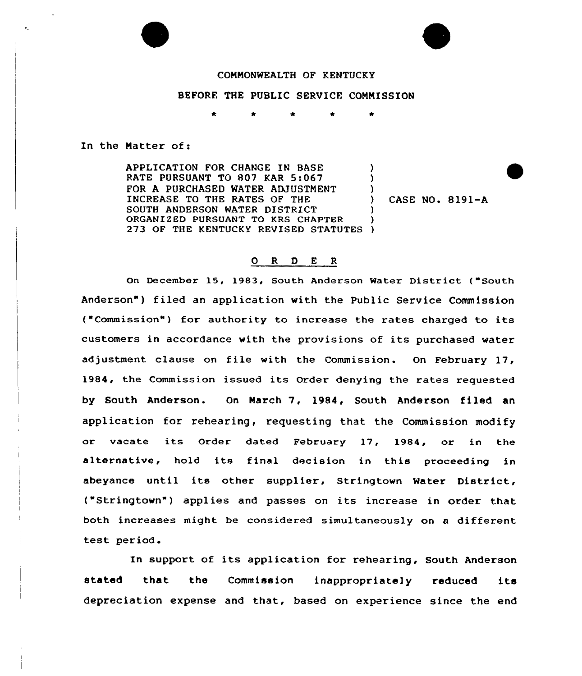

### BEFORE THE PUBLIC SERVICE COMMISSION

In the Matter of:

APPLICATION FOR CHANGE IN BASE RATE PURSUANT TO 807 KAR 5:067 FOR A PURCHASED WATER ADJUSTMENT INCREASE TO THE RATES OF THE SOUTH ANDERSON WATER DISTRICT ORGANIZED PURSUANT TO KRS CHAPTER ORGANIZED PURSUANT TO KRS CHAPTER )<br>273 OF THE KENTUCKY REVISED STATUTES ) ) ) ) ) )

) CASE NO. 8191-A

### 0 R <sup>D</sup> E R

On December 15, 1983, South Anderson Water District ("South Anderson") filed an application with the Public Service Commission ("Commission") for authority to increase the rates charged to its customers in accordance with the provisions of its purchased water adjustment clause on file with the Commission. On February 17, 1984, the Commission issued its Order denying the rates requested by South Anderson. On March 7, 1984, South Anderson filed an application for rehearing, requesting that the Commission modify or vacate its Order dated February 17, 1984, or in the alternative, hold its final decision in this proceeding in abeyance until its other supplier, Stringtown Water District, ( Stringtown") applies and passes on its increase in order that both increases might be considered simultaneously on a different test period.

In support of its application for rehearing, South Anderson stated that the Commission inappropriate]y reduced its depreciation expense and that, based on experience since the end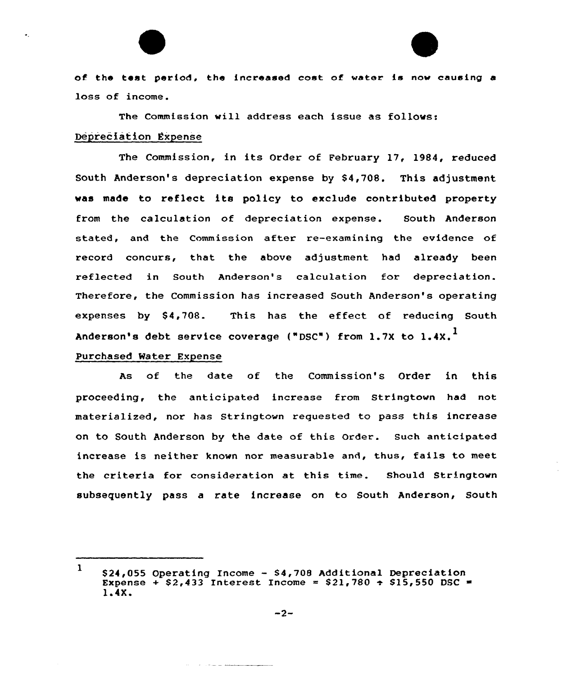of the Lest period, the increased cost of water is now causing a loss of income.

The Commission will address each issue as follows:

# Depreciation Expense

The Commission, in its Order of February 17, 1984, reduced South Anderson's depreciation expense by \$4,708. This adjustment was made to reflect its po1icy to exclude contributed property from the calculation of depreciation expense. South Anderson stated, and the Commission after re-examining the evidence of record concurs, that the above adjustment had already been reflected in South Anderson's calculation for depreciation. Therefore, the Commission has increased South Anderson's operating expenses by \$4,708. This has the effect of reducing South Anderson's debt service coverage ("DSC") from 1.7X to 1.4X.<sup>1</sup>

### Purchased Water Expense

As of the date of the Commission's Order in this proceeding, the anticipated increase from Stringtown had not materialized, nor has Stringtown requested to pass this increase on to South Anderson by the date of this Order. Such anticipated increase is neither known nor measurable and, thus, fails to meet the criteria for consideration at this time. Should Stringtown subsequently pass a rate increase on to South Anderson, South

<sup>1</sup> \$24,055 Operating Income - \$4,708 Additional Depreciation Expense +  $$2,433$  Interest Income =  $$21,780$  +  $$15,550$  DSC = 1.4X.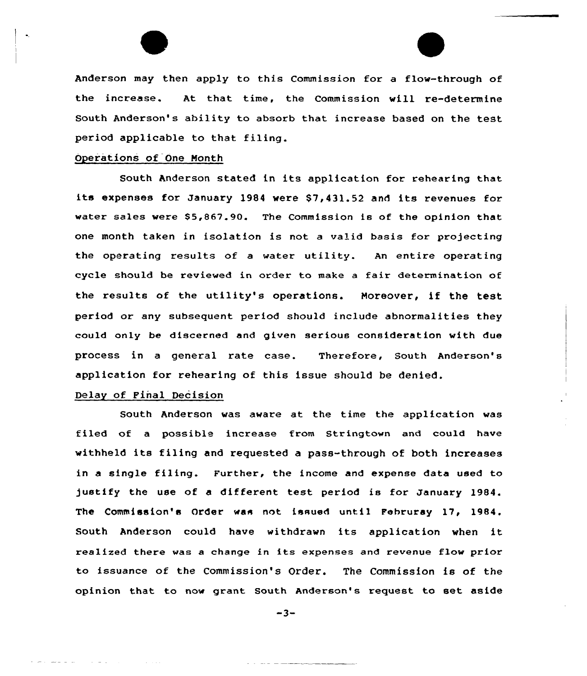Anderson may then apply to this Commission for a flow-through of the increase. At that time, the Commission will re-determine South Anderson's ability to absorb that increase based on the test period applicable to that filing.

## Operations of One Month

South Anderson stated in its application for rehearing that its expenses for January 1984 were \$7,431.52 and its revenues for water sales were \$5,867.90. The Commission is of the opinion that one month taken in isolation is not a valid basis for projecting the operating results of <sup>a</sup> water utility. An entire operating cycle should be reviewed in order to make a fair determination of the results of the utility's operations. Moreover, if the test period or any subsequent period should include abnormalities they could only be discerned and given serious consideration with due process in a general rate case. Therefore, South Anderson's application for rehearing of this issue should be denied.

# Delay of Final Decision

South Anderson was aware at the time the application was filed of a possible increase from Stringtown and could have withheld its filing and requested a pass-through of both increases in a single filing. Further, the income and expense data used to justify the use of <sup>a</sup> different test period is for January 1984. The Commission's Order was not issued until Fehruray 17, 1984. South Anderson could have withdrawn its application when it realized there was <sup>a</sup> change in its expenses and revenue flow prior to issuance of the Commission's Order. The Commission is of the opinion that to now grant South Anderson's request to set aside

 $-3-$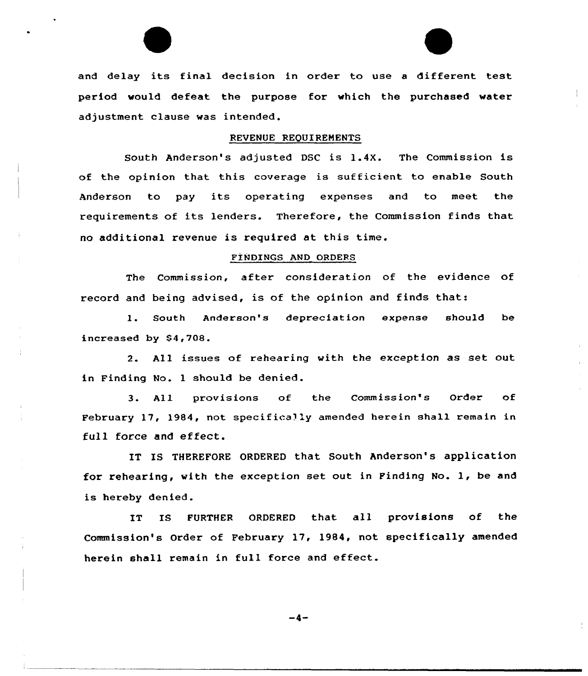and delay its final decision in order to use <sup>a</sup> different test period would defeat the purpose for which the purchased water adjustment clause was intended.

#### REVENUE REQUIREMENTS

South Anderson's adjusted DSC is 1.4X. The Commission is of the opinion that this coverage is sufficient to enable South Anderson to pay its operating expenses and to meet the requirements of its lenders. Therefore, the Commission finds that no additional revenue is required at this time.

### FlNDINGS AND ORDERS

The Commission, after consideration of the evidence of record and being advised, is of the opinion and finds that:

l. South Anderson's depreciation expense should be increased by  $$4,708.$ 

2. All issues of rehearing with the exception as set out in Finding No. 1 should be denied.

3. All provisions of the Commission's Order of February 17, 1984, not specifically amended herein shall remain in full force and effect.

IT IS THEREFORE ORDERED that South Anderson's application for rehearing, with the exception set out in Finding No. 1, be and is hereby denied.

IT IS FURTHER ORDERED that all provisions of the Commission's Order of February 17, 1984, not specifically amended herein shall remain in full force and effect.

-4-